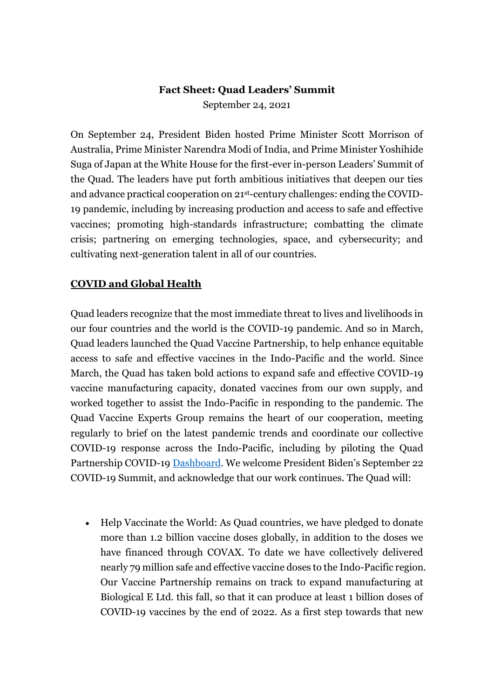# **Fact Sheet: Quad Leaders' Summit**

September 24, 2021

On September 24, President Biden hosted Prime Minister Scott Morrison of Australia, Prime Minister Narendra Modi of India, and Prime Minister Yoshihide Suga of Japan at the White House for the first-ever in-person Leaders' Summit of the Quad. The leaders have put forth ambitious initiatives that deepen our ties and advance practical cooperation on 21st-century challenges: ending the COVID-19 pandemic, including by increasing production and access to safe and effective vaccines; promoting high-standards infrastructure; combatting the climate crisis; partnering on emerging technologies, space, and cybersecurity; and cultivating next-generation talent in all of our countries.

#### **COVID and Global Health**

Quad leaders recognize that the most immediate threat to lives and livelihoods in our four countries and the world is the COVID-19 pandemic. And so in March, Quad leaders launched the Quad Vaccine Partnership, to help enhance equitable access to safe and effective vaccines in the Indo-Pacific and the world. Since March, the Quad has taken bold actions to expand safe and effective COVID-19 vaccine manufacturing capacity, donated vaccines from our own supply, and worked together to assist the Indo-Pacific in responding to the pandemic. The Quad Vaccine Experts Group remains the heart of our cooperation, meeting regularly to brief on the latest pandemic trends and coordinate our collective COVID-19 response across the Indo-Pacific, including by piloting the Quad Partnership COVID-19 [Dashboard.](https://share.usaid.gov/views/QUADCountryCOVID-19ResponseDashboard/Indo-PacificRegionOverview?%3AshowAppBanner=false&%3Adisplay_count=n&%3AshowVizHome=n&%3Aorigin=viz_share_link&%3AisGuestRedirectFromVizportal=y&%3Aembed=y) We welcome President Biden's September 22 COVID-19 Summit, and acknowledge that our work continues. The Quad will:

 Help Vaccinate the World: As Quad countries, we have pledged to donate more than 1.2 billion vaccine doses globally, in addition to the doses we have financed through COVAX. To date we have collectively delivered nearly 79 million safe and effective vaccine doses to the Indo-Pacific region. Our Vaccine Partnership remains on track to expand manufacturing at Biological E Ltd. this fall, so that it can produce at least 1 billion doses of COVID-19 vaccines by the end of 2022. As a first step towards that new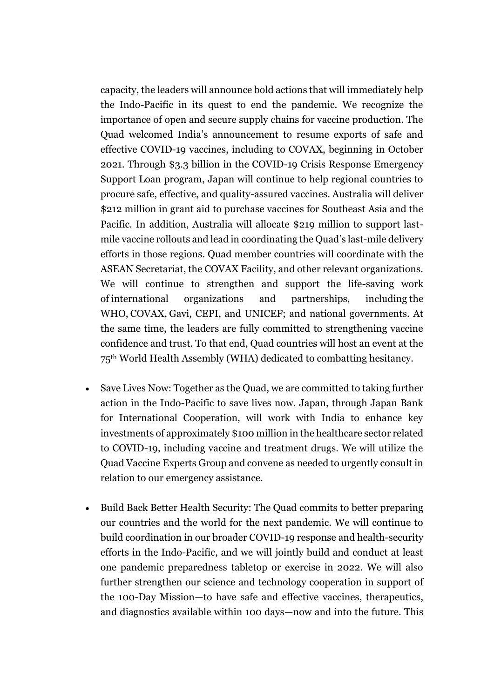capacity, the leaders will announce bold actions that will immediately help the Indo-Pacific in its quest to end the pandemic. We recognize the importance of open and secure supply chains for vaccine production. The Quad welcomed India's announcement to resume exports of safe and effective COVID-19 vaccines, including to COVAX, beginning in October 2021. Through \$3.3 billion in the COVID-19 Crisis Response Emergency Support Loan program, Japan will continue to help regional countries to procure safe, effective, and quality-assured vaccines. Australia will deliver \$212 million in grant aid to purchase vaccines for Southeast Asia and the Pacific. In addition, Australia will allocate \$219 million to support lastmile vaccine rollouts and lead in coordinating the Quad's last-mile delivery efforts in those regions. Quad member countries will coordinate with the ASEAN Secretariat, the COVAX Facility, and other relevant organizations. We will continue to strengthen and support the life-saving work of international organizations and partnerships, including the WHO, COVAX, Gavi, CEPI, and UNICEF; and national governments. At the same time, the leaders are fully committed to strengthening vaccine confidence and trust. To that end, Quad countries will host an event at the 75th World Health Assembly (WHA) dedicated to combatting hesitancy.

- Save Lives Now: Together as the Quad, we are committed to taking further action in the Indo-Pacific to save lives now. Japan, through Japan Bank for International Cooperation, will work with India to enhance key investments of approximately \$100 million in the healthcare sector related to COVID-19, including vaccine and treatment drugs. We will utilize the Quad Vaccine Experts Group and convene as needed to urgently consult in relation to our emergency assistance.
- Build Back Better Health Security: The Quad commits to better preparing our countries and the world for the next pandemic. We will continue to build coordination in our broader COVID-19 response and health-security efforts in the Indo-Pacific, and we will jointly build and conduct at least one pandemic preparedness tabletop or exercise in 2022. We will also further strengthen our science and technology cooperation in support of the 100-Day Mission—to have safe and effective vaccines, therapeutics, and diagnostics available within 100 days—now and into the future. This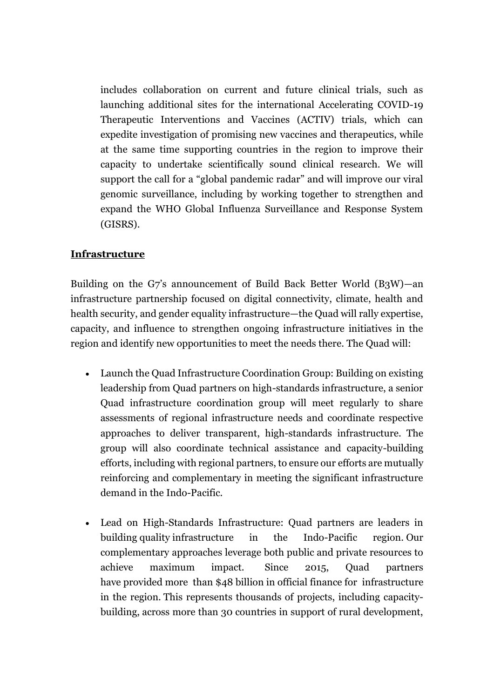includes collaboration on current and future clinical trials, such as launching additional sites for the international Accelerating COVID-19 Therapeutic Interventions and Vaccines (ACTIV) trials, which can expedite investigation of promising new vaccines and therapeutics, while at the same time supporting countries in the region to improve their capacity to undertake scientifically sound clinical research. We will support the call for a "global pandemic radar" and will improve our viral genomic surveillance, including by working together to strengthen and expand the WHO Global Influenza Surveillance and Response System (GISRS).

#### **Infrastructure**

Building on the G7's announcement of Build Back Better World (B3W)—an infrastructure partnership focused on digital connectivity, climate, health and health security, and gender equality infrastructure—the Quad will rally expertise, capacity, and influence to strengthen ongoing infrastructure initiatives in the region and identify new opportunities to meet the needs there. The Quad will:

- Launch the Quad Infrastructure Coordination Group: Building on existing leadership from Quad partners on high-standards infrastructure, a senior Quad infrastructure coordination group will meet regularly to share assessments of regional infrastructure needs and coordinate respective approaches to deliver transparent, high-standards infrastructure. The group will also coordinate technical assistance and capacity-building efforts, including with regional partners, to ensure our efforts are mutually reinforcing and complementary in meeting the significant infrastructure demand in the Indo-Pacific.
- Lead on High-Standards Infrastructure: Quad partners are leaders in building quality infrastructure in the Indo-Pacific region. Our complementary approaches leverage both public and private resources to achieve maximum impact. Since 2015, Quad partners have provided more than \$48 billion in official finance for infrastructure in the region. This represents thousands of projects, including capacitybuilding, across more than 30 countries in support of rural development,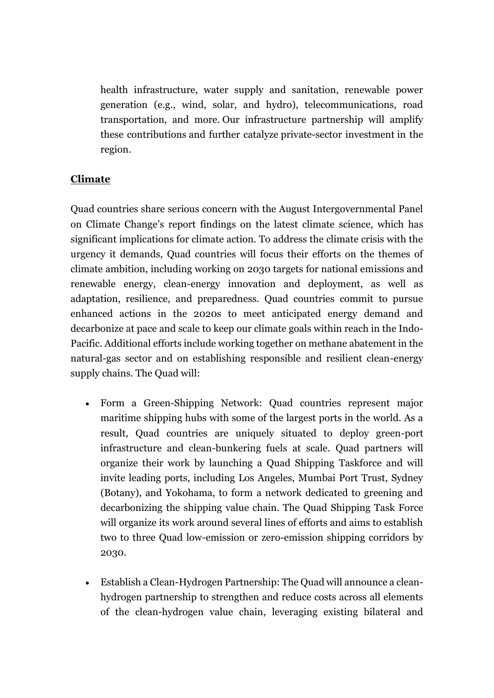health infrastructure, water supply and sanitation, renewable power generation (e.g., wind, solar, and hydro), telecommunications, road transportation, and more. Our infrastructure partnership will amplify these contributions and further catalyze private-sector investment in the region.

## **Climate**

Quad countries share serious concern with the August Intergovernmental Panel on Climate Change's report findings on the latest climate science, which has significant implications for climate action. To address the climate crisis with the urgency it demands, Quad countries will focus their efforts on the themes of climate ambition, including working on 2030 targets for national emissions and renewable energy, clean-energy innovation and deployment, as well as adaptation, resilience, and preparedness. Quad countries commit to pursue enhanced actions in the 2020s to meet anticipated energy demand and decarbonize at pace and scale to keep our climate goals within reach in the Indo-Pacific. Additional efforts include working together on methane abatement in the natural-gas sector and on establishing responsible and resilient clean-energy supply chains. The Quad will:

- Form a Green-Shipping Network: Quad countries represent major maritime shipping hubs with some of the largest ports in the world. As a result, Quad countries are uniquely situated to deploy green-port infrastructure and clean-bunkering fuels at scale. Quad partners will organize their work by launching a Quad Shipping Taskforce and will invite leading ports, including Los Angeles, Mumbai Port Trust, Sydney (Botany), and Yokohama, to form a network dedicated to greening and decarbonizing the shipping value chain. The Quad Shipping Task Force will organize its work around several lines of efforts and aims to establish two to three Quad low-emission or zero-emission shipping corridors by 2030.
- Establish a Clean-Hydrogen Partnership: The Quad will announce a cleanhydrogen partnership to strengthen and reduce costs across all elements of the clean-hydrogen value chain, leveraging existing bilateral and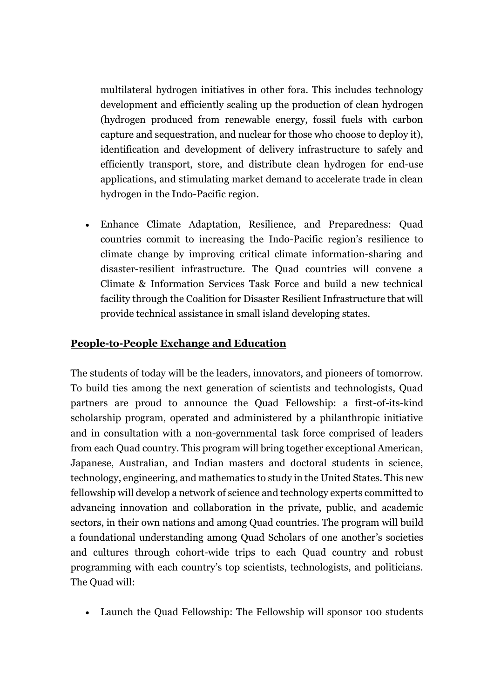multilateral hydrogen initiatives in other fora. This includes technology development and efficiently scaling up the production of clean hydrogen (hydrogen produced from renewable energy, fossil fuels with carbon capture and sequestration, and nuclear for those who choose to deploy it), identification and development of delivery infrastructure to safely and efficiently transport, store, and distribute clean hydrogen for end-use applications, and stimulating market demand to accelerate trade in clean hydrogen in the Indo-Pacific region.

 Enhance Climate Adaptation, Resilience, and Preparedness: Quad countries commit to increasing the Indo-Pacific region's resilience to climate change by improving critical climate information-sharing and disaster-resilient infrastructure. The Quad countries will convene a Climate & Information Services Task Force and build a new technical facility through the Coalition for Disaster Resilient Infrastructure that will provide technical assistance in small island developing states.

### **People-to-People Exchange and Education**

The students of today will be the leaders, innovators, and pioneers of tomorrow. To build ties among the next generation of scientists and technologists, Quad partners are proud to announce the Quad Fellowship: a first-of-its-kind scholarship program, operated and administered by a philanthropic initiative and in consultation with a non-governmental task force comprised of leaders from each Quad country. This program will bring together exceptional American, Japanese, Australian, and Indian masters and doctoral students in science, technology, engineering, and mathematics to study in the United States. This new fellowship will develop a network of science and technology experts committed to advancing innovation and collaboration in the private, public, and academic sectors, in their own nations and among Quad countries. The program will build a foundational understanding among Quad Scholars of one another's societies and cultures through cohort-wide trips to each Quad country and robust programming with each country's top scientists, technologists, and politicians. The Quad will:

Launch the Quad Fellowship: The Fellowship will sponsor 100 students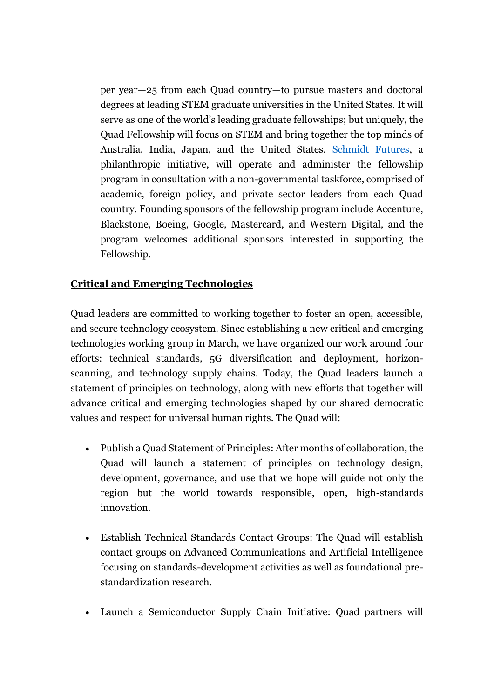per year—25 from each Quad country—to pursue masters and doctoral degrees at leading STEM graduate universities in the United States. It will serve as one of the world's leading graduate fellowships; but uniquely, the Quad Fellowship will focus on STEM and bring together the top minds of Australia, India, Japan, and the United States. [Schmidt Futures,](https://schmidtfutures.com/) a philanthropic initiative, will operate and administer the fellowship program in consultation with a non-governmental taskforce, comprised of academic, foreign policy, and private sector leaders from each Quad country. Founding sponsors of the fellowship program include Accenture, Blackstone, Boeing, Google, Mastercard, and Western Digital, and the program welcomes additional sponsors interested in supporting the Fellowship.

#### **Critical and Emerging Technologies**

Quad leaders are committed to working together to foster an open, accessible, and secure technology ecosystem. Since establishing a new critical and emerging technologies working group in March, we have organized our work around four efforts: technical standards, 5G diversification and deployment, horizonscanning, and technology supply chains. Today, the Quad leaders launch a statement of principles on technology, along with new efforts that together will advance critical and emerging technologies shaped by our shared democratic values and respect for universal human rights. The Quad will:

- Publish a Quad Statement of Principles: After months of collaboration, the Quad will launch a statement of principles on technology design, development, governance, and use that we hope will guide not only the region but the world towards responsible, open, high-standards innovation.
- Establish Technical Standards Contact Groups: The Quad will establish contact groups on Advanced Communications and Artificial Intelligence focusing on standards-development activities as well as foundational prestandardization research.
- Launch a Semiconductor Supply Chain Initiative: Quad partners will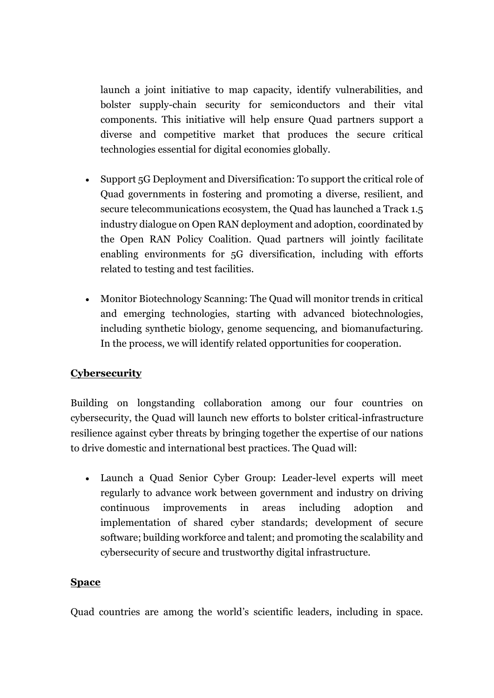launch a joint initiative to map capacity, identify vulnerabilities, and bolster supply-chain security for semiconductors and their vital components. This initiative will help ensure Quad partners support a diverse and competitive market that produces the secure critical technologies essential for digital economies globally.

- Support 5G Deployment and Diversification: To support the critical role of Quad governments in fostering and promoting a diverse, resilient, and secure telecommunications ecosystem, the Quad has launched a Track 1.5 industry dialogue on Open RAN deployment and adoption, coordinated by the Open RAN Policy Coalition. Quad partners will jointly facilitate enabling environments for 5G diversification, including with efforts related to testing and test facilities.
- Monitor Biotechnology Scanning: The Quad will monitor trends in critical and emerging technologies, starting with advanced biotechnologies, including synthetic biology, genome sequencing, and biomanufacturing. In the process, we will identify related opportunities for cooperation.

## **Cybersecurity**

Building on longstanding collaboration among our four countries on cybersecurity, the Quad will launch new efforts to bolster critical-infrastructure resilience against cyber threats by bringing together the expertise of our nations to drive domestic and international best practices. The Quad will:

 Launch a Quad Senior Cyber Group: Leader-level experts will meet regularly to advance work between government and industry on driving continuous improvements in areas including adoption and implementation of shared cyber standards; development of secure software; building workforce and talent; and promoting the scalability and cybersecurity of secure and trustworthy digital infrastructure.

#### **Space**

Quad countries are among the world's scientific leaders, including in space.